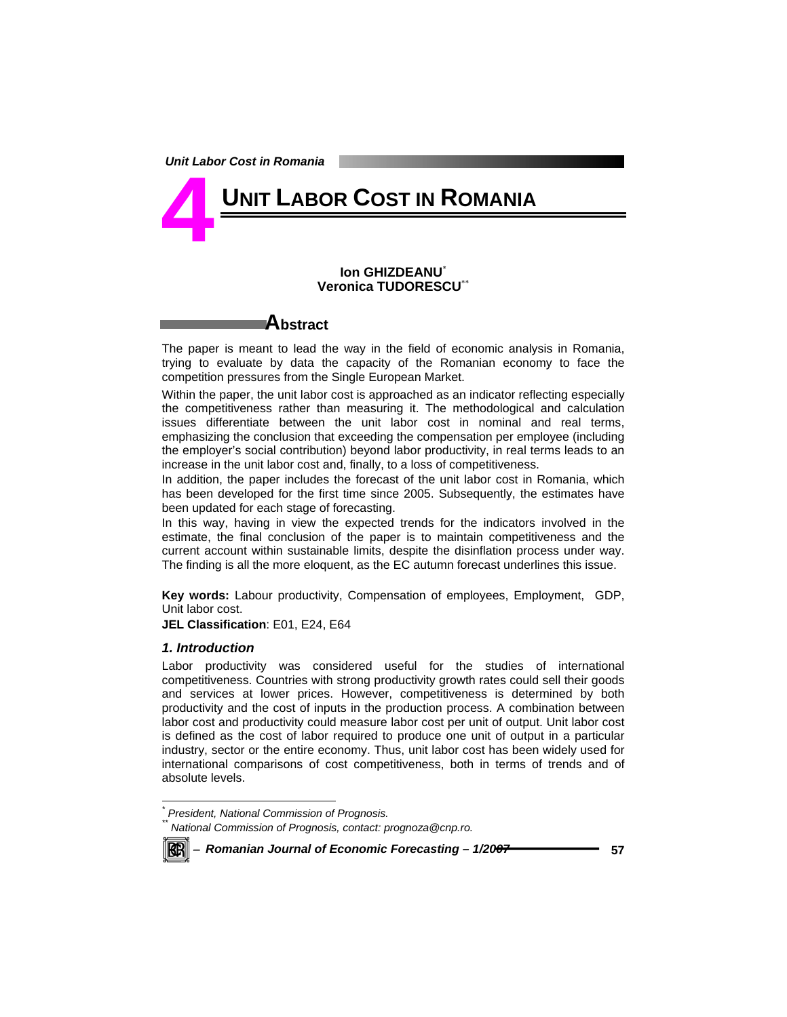# **UNIT LABOR COST IN ROMANIA 4**

#### **Ion GHIZDEANU**\* **Veronica TUDORESCU**\*\*

# **Abstract**

The paper is meant to lead the way in the field of economic analysis in Romania, trying to evaluate by data the capacity of the Romanian economy to face the competition pressures from the Single European Market.

Within the paper, the unit labor cost is approached as an indicator reflecting especially the competitiveness rather than measuring it. The methodological and calculation issues differentiate between the unit labor cost in nominal and real terms, emphasizing the conclusion that exceeding the compensation per employee (including the employer's social contribution) beyond labor productivity, in real terms leads to an increase in the unit labor cost and, finally, to a loss of competitiveness.

In addition, the paper includes the forecast of the unit labor cost in Romania, which has been developed for the first time since 2005. Subsequently, the estimates have been updated for each stage of forecasting.

In this way, having in view the expected trends for the indicators involved in the estimate, the final conclusion of the paper is to maintain competitiveness and the current account within sustainable limits, despite the disinflation process under way. The finding is all the more eloquent, as the EC autumn forecast underlines this issue.

**Key words:** Labour productivity, Compensation of employees, Employment, GDP, Unit labor cost.

**JEL Classification**: E01, E24, E64

# *1. Introduction*

Labor productivity was considered useful for the studies of international competitiveness. Countries with strong productivity growth rates could sell their goods and services at lower prices. However, competitiveness is determined by both productivity and the cost of inputs in the production process. A combination between labor cost and productivity could measure labor cost per unit of output. Unit labor cost is defined as the cost of labor required to produce one unit of output in a particular industry, sector or the entire economy. Thus, unit labor cost has been widely used for international comparisons of cost competitiveness, both in terms of trends and of absolute levels.

*\*\* National Commission of Prognosis, contact: prognoza@cnp.ro.* 



 *\* President, National Commission of Prognosis.*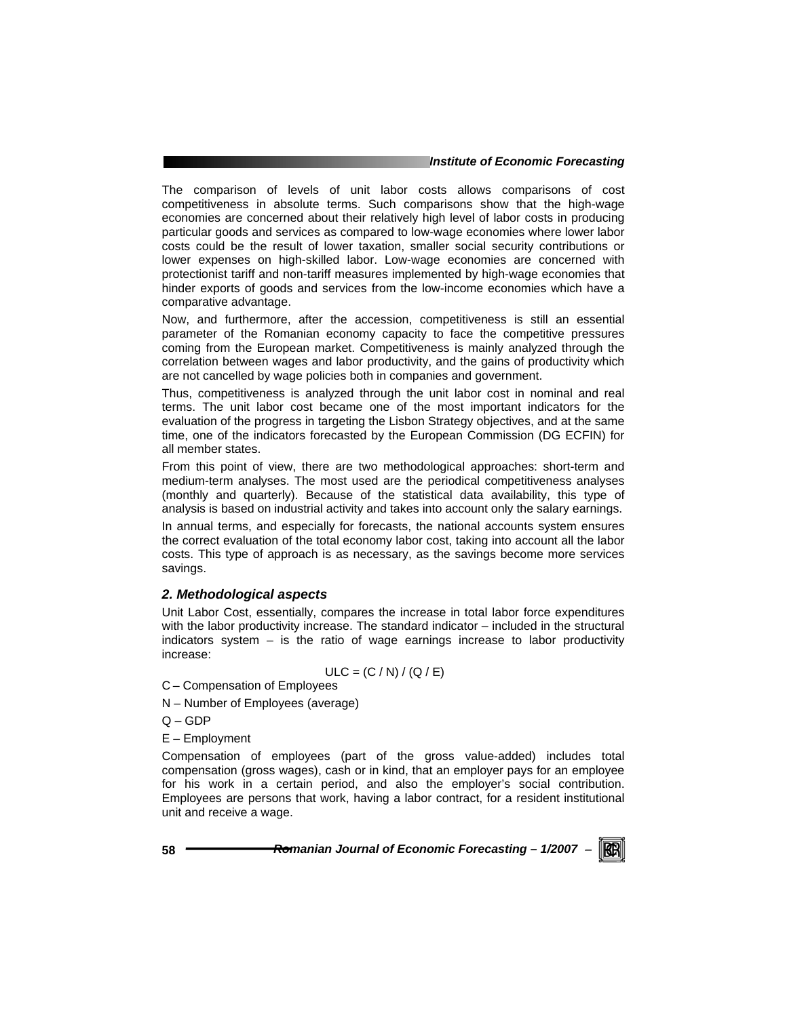#### *Institute of Economic Forecasting*

The comparison of levels of unit labor costs allows comparisons of cost competitiveness in absolute terms. Such comparisons show that the high-wage economies are concerned about their relatively high level of labor costs in producing particular goods and services as compared to low-wage economies where lower labor costs could be the result of lower taxation, smaller social security contributions or lower expenses on high-skilled labor. Low-wage economies are concerned with protectionist tariff and non-tariff measures implemented by high-wage economies that hinder exports of goods and services from the low-income economies which have a comparative advantage.

Now, and furthermore, after the accession, competitiveness is still an essential parameter of the Romanian economy capacity to face the competitive pressures coming from the European market. Competitiveness is mainly analyzed through the correlation between wages and labor productivity, and the gains of productivity which are not cancelled by wage policies both in companies and government.

Thus, competitiveness is analyzed through the unit labor cost in nominal and real terms. The unit labor cost became one of the most important indicators for the evaluation of the progress in targeting the Lisbon Strategy objectives, and at the same time, one of the indicators forecasted by the European Commission (DG ECFIN) for all member states.

From this point of view, there are two methodological approaches: short-term and medium-term analyses. The most used are the periodical competitiveness analyses (monthly and quarterly). Because of the statistical data availability, this type of analysis is based on industrial activity and takes into account only the salary earnings.

In annual terms, and especially for forecasts, the national accounts system ensures the correct evaluation of the total economy labor cost, taking into account all the labor costs. This type of approach is as necessary, as the savings become more services savings.

## *2. Methodological aspects*

Unit Labor Cost, essentially, compares the increase in total labor force expenditures with the labor productivity increase. The standard indicator – included in the structural indicators system – is the ratio of wage earnings increase to labor productivity increase:

$$
ULC = (C / N) / (Q / E)
$$

C – Compensation of Employees

- N Number of Employees (average)
- Q GDP
- E Employment

Compensation of employees (part of the gross value-added) includes total compensation (gross wages), cash or in kind, that an employer pays for an employee for his work in a certain period, and also the employer's social contribution. Employees are persons that work, having a labor contract, for a resident institutional unit and receive a wage.

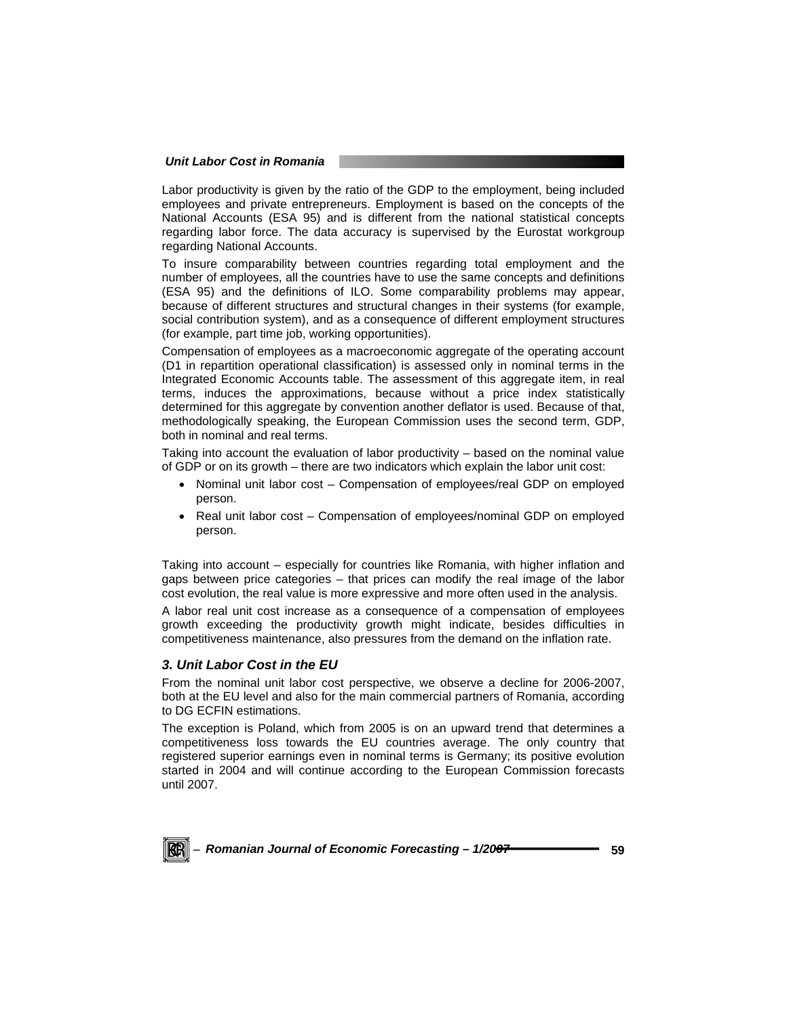#### *Unit Labor Cost in Romania*

Labor productivity is given by the ratio of the GDP to the employment, being included employees and private entrepreneurs. Employment is based on the concepts of the National Accounts (ESA 95) and is different from the national statistical concepts regarding labor force. The data accuracy is supervised by the Eurostat workgroup regarding National Accounts.

To insure comparability between countries regarding total employment and the number of employees, all the countries have to use the same concepts and definitions (ESA 95) and the definitions of ILO. Some comparability problems may appear, because of different structures and structural changes in their systems (for example, social contribution system), and as a consequence of different employment structures (for example, part time job, working opportunities).

Compensation of employees as a macroeconomic aggregate of the operating account (D1 in repartition operational classification) is assessed only in nominal terms in the Integrated Economic Accounts table. The assessment of this aggregate item, in real terms, induces the approximations, because without a price index statistically determined for this aggregate by convention another deflator is used. Because of that, methodologically speaking, the European Commission uses the second term, GDP, both in nominal and real terms.

Taking into account the evaluation of labor productivity – based on the nominal value of GDP or on its growth – there are two indicators which explain the labor unit cost:

- Nominal unit labor cost Compensation of employees/real GDP on employed person.
- Real unit labor cost Compensation of employees/nominal GDP on employed person.

Taking into account – especially for countries like Romania, with higher inflation and gaps between price categories – that prices can modify the real image of the labor cost evolution, the real value is more expressive and more often used in the analysis.

A labor real unit cost increase as a consequence of a compensation of employees growth exceeding the productivity growth might indicate, besides difficulties in competitiveness maintenance, also pressures from the demand on the inflation rate.

## *3. Unit Labor Cost in the EU*

From the nominal unit labor cost perspective, we observe a decline for 2006-2007, both at the EU level and also for the main commercial partners of Romania, according to DG ECFIN estimations.

The exception is Poland, which from 2005 is on an upward trend that determines a competitiveness loss towards the EU countries average. The only country that registered superior earnings even in nominal terms is Germany; its positive evolution started in 2004 and will continue according to the European Commission forecasts until 2007.

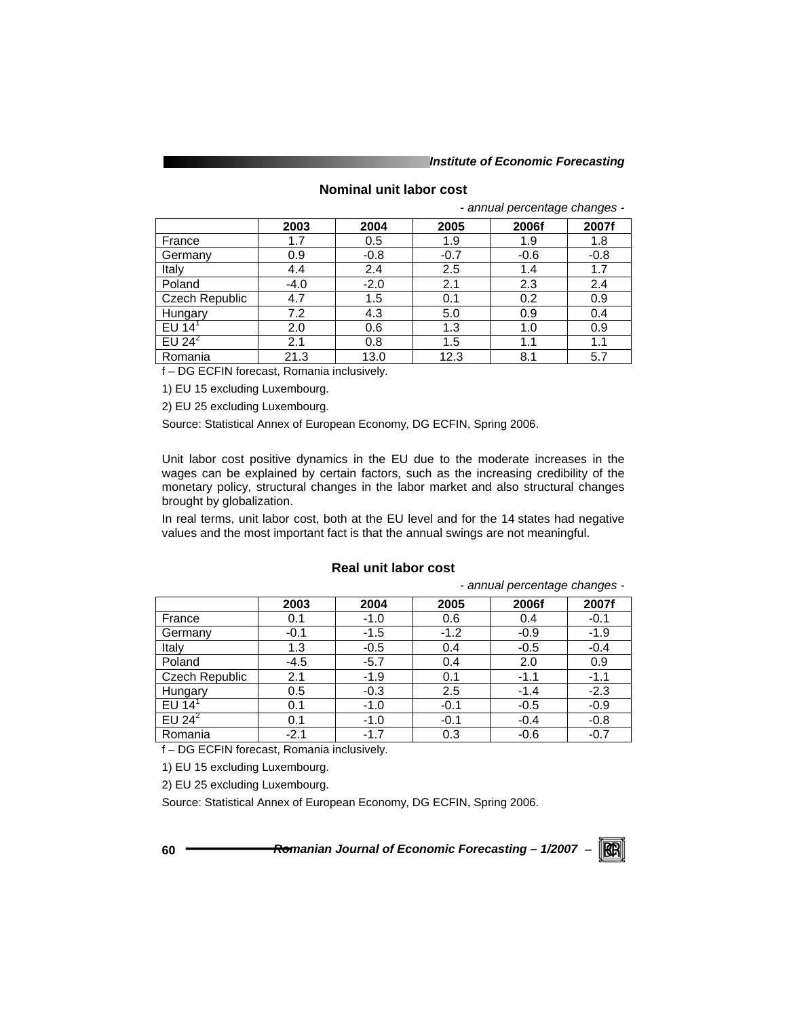*Institute of Economic Forecasting*

# **Nominal unit labor cost**

*- annual percentage changes -* 

|                       | 2003   | 2004   | 2005   | 2006f  | 2007f  |
|-----------------------|--------|--------|--------|--------|--------|
| France                | 1.7    | 0.5    | 1.9    | 1.9    | 1.8    |
| Germany               | 0.9    | $-0.8$ | $-0.7$ | $-0.6$ | $-0.8$ |
| Italy                 | 4.4    | 2.4    | 2.5    | 1.4    | 1.7    |
| Poland                | $-4.0$ | $-2.0$ | 2.1    | 2.3    | 2.4    |
| <b>Czech Republic</b> | 4.7    | 1.5    | 0.1    | 0.2    | 0.9    |
| Hungary               | 7.2    | 4.3    | 5.0    | 0.9    | 0.4    |
| EU 14                 | 2.0    | 0.6    | 1.3    | 1.0    | 0.9    |
| EU $2\overline{4}^2$  | 2.1    | 0.8    | 1.5    | 1.1    | 1.1    |
| Romania               | 21.3   | 13.0   | 12.3   | 8.1    | 5.7    |

f – DG ECFIN forecast, Romania inclusively.

1) EU 15 excluding Luxembourg.

2) EU 25 excluding Luxembourg.

Source: Statistical Annex of European Economy, DG ECFIN, Spring 2006.

Unit labor cost positive dynamics in the EU due to the moderate increases in the wages can be explained by certain factors, such as the increasing credibility of the monetary policy, structural changes in the labor market and also structural changes brought by globalization.

In real terms, unit labor cost, both at the EU level and for the 14 states had negative values and the most important fact is that the annual swings are not meaningful.

# **Real unit labor cost**

*- annual percentage changes -* 

|                                                          | 2003                     | 2004   | 2005   | 2006f  | 2007f  |
|----------------------------------------------------------|--------------------------|--------|--------|--------|--------|
| France                                                   | 0.1                      | $-1.0$ | 0.6    | 0.4    | $-0.1$ |
| Germany                                                  | $-0.1$                   | $-1.5$ | $-1.2$ | $-0.9$ | $-1.9$ |
| Italy                                                    | 1.3                      | $-0.5$ | 0.4    | $-0.5$ | $-0.4$ |
| Poland                                                   | $-4.5$                   | $-5.7$ | 0.4    | 2.0    | 0.9    |
| Czech Republic                                           | 2.1                      | $-1.9$ | 0.1    | $-1.1$ | $-1.1$ |
| Hungary                                                  | 0.5                      | $-0.3$ | 2.5    | $-1.4$ | $-2.3$ |
| EU 14 $1$                                                | 0.1                      | $-1.0$ | $-0.1$ | $-0.5$ | $-0.9$ |
| EU $2\overline{4}^2$                                     | 0.1                      | $-1.0$ | $-0.1$ | $-0.4$ | $-0.8$ |
| Romania                                                  | $-2.1$                   | $-1.7$ | 0.3    | $-0.6$ | $-0.7$ |
| $\epsilon$ $\sim$ $\sim$ $\sim$ $\sim$ $\sim$ $\epsilon$ | $\overline{\phantom{a}}$ | . .    |        |        |        |

f – DG ECFIN forecast, Romania inclusively.

1) EU 15 excluding Luxembourg.

2) EU 25 excluding Luxembourg.

Source: Statistical Annex of European Economy, DG ECFIN, Spring 2006.

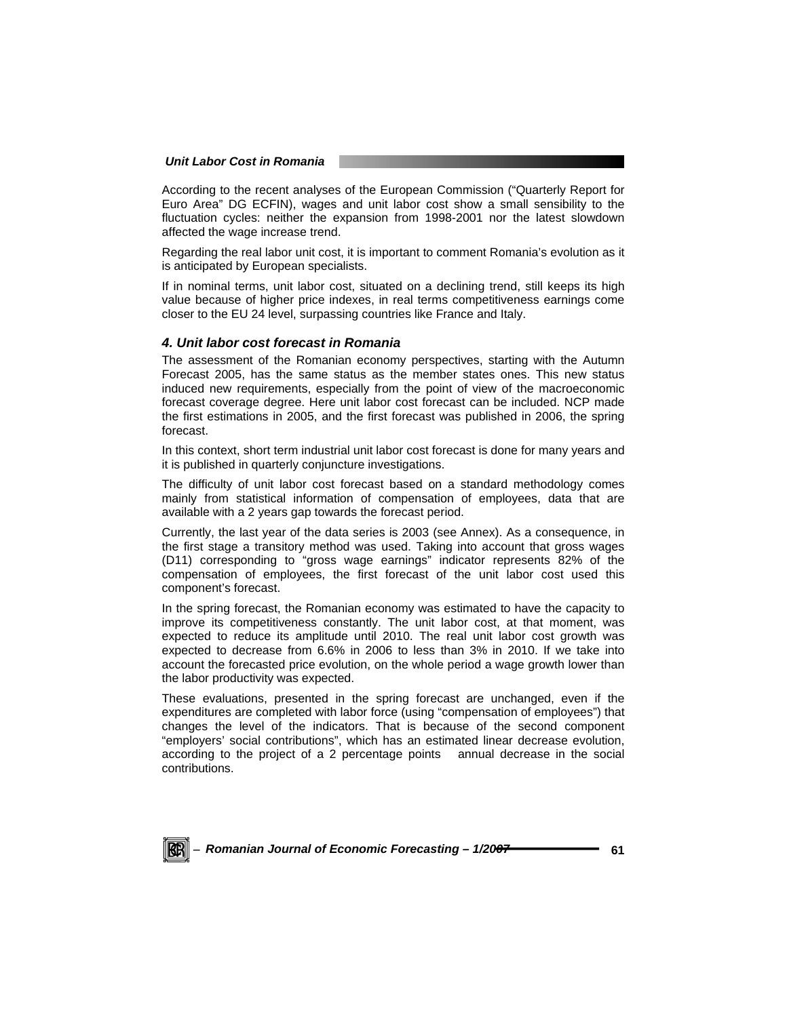#### *Unit Labor Cost in Romania*

According to the recent analyses of the European Commission ("Quarterly Report for Euro Area" DG ECFIN), wages and unit labor cost show a small sensibility to the fluctuation cycles: neither the expansion from 1998-2001 nor the latest slowdown affected the wage increase trend.

Regarding the real labor unit cost, it is important to comment Romania's evolution as it is anticipated by European specialists.

If in nominal terms, unit labor cost, situated on a declining trend, still keeps its high value because of higher price indexes, in real terms competitiveness earnings come closer to the EU 24 level, surpassing countries like France and Italy.

#### *4. Unit labor cost forecast in Romania*

The assessment of the Romanian economy perspectives, starting with the Autumn Forecast 2005, has the same status as the member states ones. This new status induced new requirements, especially from the point of view of the macroeconomic forecast coverage degree. Here unit labor cost forecast can be included. NCP made the first estimations in 2005, and the first forecast was published in 2006, the spring forecast.

In this context, short term industrial unit labor cost forecast is done for many years and it is published in quarterly conjuncture investigations.

The difficulty of unit labor cost forecast based on a standard methodology comes mainly from statistical information of compensation of employees, data that are available with a 2 years gap towards the forecast period.

Currently, the last year of the data series is 2003 (see Annex). As a consequence, in the first stage a transitory method was used. Taking into account that gross wages (D11) corresponding to "gross wage earnings" indicator represents 82% of the compensation of employees, the first forecast of the unit labor cost used this component's forecast.

In the spring forecast, the Romanian economy was estimated to have the capacity to improve its competitiveness constantly. The unit labor cost, at that moment, was expected to reduce its amplitude until 2010. The real unit labor cost growth was expected to decrease from 6.6% in 2006 to less than 3% in 2010. If we take into account the forecasted price evolution, on the whole period a wage growth lower than the labor productivity was expected.

These evaluations, presented in the spring forecast are unchanged, even if the expenditures are completed with labor force (using "compensation of employees") that changes the level of the indicators. That is because of the second component "employers' social contributions", which has an estimated linear decrease evolution, according to the project of a 2 percentage points annual decrease in the social contributions.

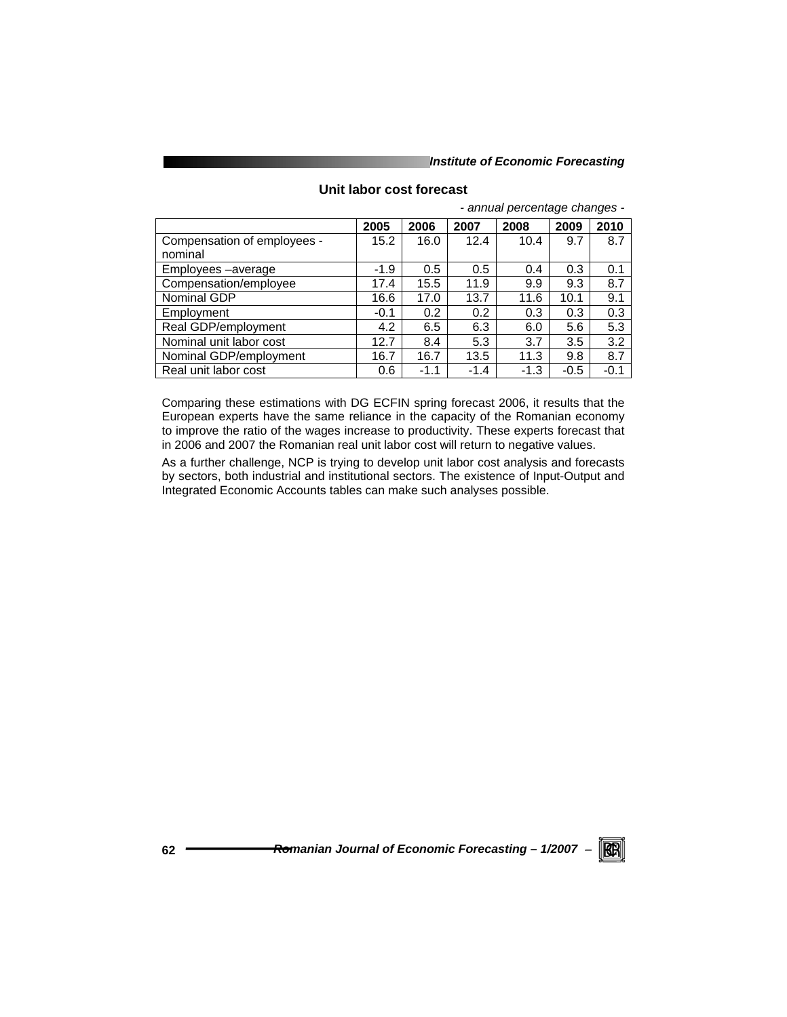#### *Institute of Economic Forecasting*

|                             | 2005   | 2006   | 2007   | 2008   | 2009   | 2010   |
|-----------------------------|--------|--------|--------|--------|--------|--------|
| Compensation of employees - | 15.2   | 16.0   | 12.4   | 10.4   | 9.7    | 8.7    |
| nominal                     |        |        |        |        |        |        |
| Employees -average          | $-1.9$ | 0.5    | 0.5    | 0.4    | 0.3    | 0.1    |
| Compensation/employee       | 17.4   | 15.5   | 11.9   | 9.9    | 9.3    | 8.7    |
| Nominal GDP                 | 16.6   | 17.0   | 13.7   | 11.6   | 10.1   | 9.1    |
| Employment                  | $-0.1$ | 0.2    | 0.2    | 0.3    | 0.3    | 0.3    |
| Real GDP/employment         | 4.2    | 6.5    | 6.3    | 6.0    | 5.6    | 5.3    |
| Nominal unit labor cost     | 12.7   | 8.4    | 5.3    | 3.7    | 3.5    | 3.2    |
| Nominal GDP/employment      | 16.7   | 16.7   | 13.5   | 11.3   | 9.8    | 8.7    |
| Real unit labor cost        | 0.6    | $-1.1$ | $-1.4$ | $-1.3$ | $-0.5$ | $-0.1$ |

# **Unit labor cost forecast**

*- annual percentage changes -* 

Comparing these estimations with DG ECFIN spring forecast 2006, it results that the European experts have the same reliance in the capacity of the Romanian economy to improve the ratio of the wages increase to productivity. These experts forecast that in 2006 and 2007 the Romanian real unit labor cost will return to negative values.

As a further challenge, NCP is trying to develop unit labor cost analysis and forecasts by sectors, both industrial and institutional sectors. The existence of Input-Output and Integrated Economic Accounts tables can make such analyses possible.

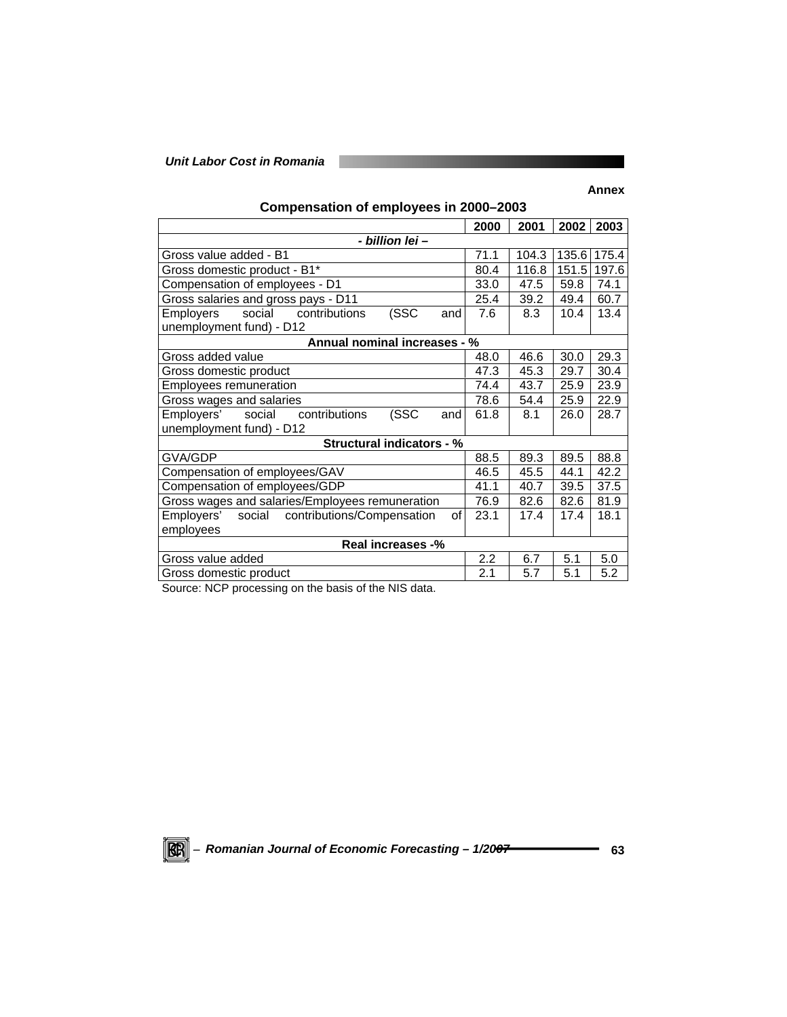# *Unit Labor Cost in Romania*

# **Annex**

| Compensation of employees in 2000-2003 |
|----------------------------------------|
|----------------------------------------|

H.

|                                                       | 2000 | 2001  | 2002  | 2003        |  |  |  |
|-------------------------------------------------------|------|-------|-------|-------------|--|--|--|
| - billion lei -                                       |      |       |       |             |  |  |  |
| Gross value added - B1                                | 71.1 | 104.3 |       | 135.6 175.4 |  |  |  |
| Gross domestic product - B1*                          | 80.4 | 116.8 | 151.5 | 197.6       |  |  |  |
| Compensation of employees - D1                        | 33.0 | 47.5  | 59.8  | 74.1        |  |  |  |
| Gross salaries and gross pays - D11                   | 25.4 | 39.2  | 49.4  | 60.7        |  |  |  |
| (SSC<br>social contributions<br>Employers<br>and      | 7.6  | 8.3   | 10.4  | 13.4        |  |  |  |
| unemployment fund) - D12                              |      |       |       |             |  |  |  |
| Annual nominal increases - %                          |      |       |       |             |  |  |  |
| Gross added value                                     | 48.0 | 46.6  | 30.0  | 29.3        |  |  |  |
| Gross domestic product                                | 47.3 | 45.3  | 29.7  | 30.4        |  |  |  |
| Employees remuneration                                | 74.4 | 43.7  | 25.9  | 23.9        |  |  |  |
| Gross wages and salaries                              | 78.6 | 54.4  | 25.9  | 22.9        |  |  |  |
| (SSC<br>Employers'<br>social<br>contributions<br>and  | 61.8 | 8.1   | 26.0  | 28.7        |  |  |  |
| unemployment fund) - D12                              |      |       |       |             |  |  |  |
| <b>Structural indicators - %</b>                      |      |       |       |             |  |  |  |
| GVA/GDP                                               | 88.5 | 89.3  | 89.5  | 88.8        |  |  |  |
| Compensation of employees/GAV                         | 46.5 | 45.5  | 44.1  | 42.2        |  |  |  |
| Compensation of employees/GDP                         | 41.1 | 40.7  | 39.5  | 37.5        |  |  |  |
| Gross wages and salaries/Employees remuneration       | 76.9 | 82.6  | 82.6  | 81.9        |  |  |  |
| Employers'<br>social contributions/Compensation<br>of | 23.1 | 17.4  | 17.4  | 18.1        |  |  |  |
| employees                                             |      |       |       |             |  |  |  |
| Real increases -%                                     |      |       |       |             |  |  |  |
| Gross value added                                     | 2.2  | 6.7   | 5.1   | 5.0         |  |  |  |
| Gross domestic product                                | 2.1  | 5.7   | 5.1   | 5.2         |  |  |  |

Source: NCP processing on the basis of the NIS data.